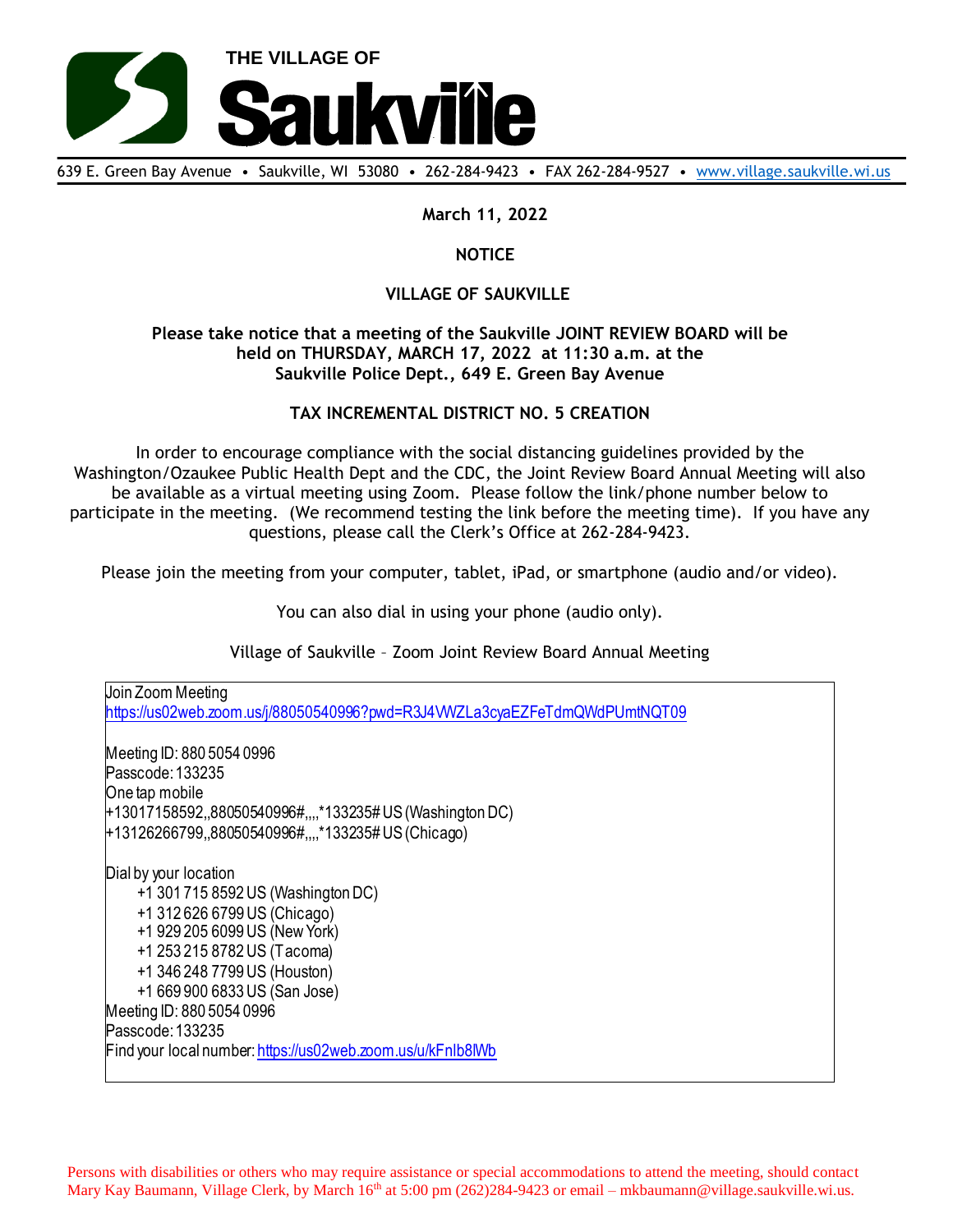

639 E. Green Bay Avenue • Saukville, WI 53080 • 262-284-9423 • FAX 262-284-9527 • [www.village.saukville.wi.us](http://www.village.saukville.wi.us/)

**March 11, 2022**

## **NOTICE**

## **VILLAGE OF SAUKVILLE**

## **Please take notice that a meeting of the Saukville JOINT REVIEW BOARD will be held on THURSDAY, MARCH 17, 2022 at 11:30 a.m. at the Saukville Police Dept., 649 E. Green Bay Avenue**

## **TAX INCREMENTAL DISTRICT NO. 5 CREATION**

In order to encourage compliance with the social distancing guidelines provided by the Washington/Ozaukee Public Health Dept and the CDC, the Joint Review Board Annual Meeting will also be available as a virtual meeting using Zoom. Please follow the link/phone number below to participate in the meeting. (We recommend testing the link before the meeting time). If you have any questions, please call the Clerk's Office at 262-284-9423.

Please join the meeting from your computer, tablet, iPad, or smartphone (audio and/or video).

You can also dial in using your phone (audio only).

Village of Saukville – Zoom Joint Review Board Annual Meeting

Join Zoom Meeting https://us02web.zoom.us/j/88050540996?pwd=R3J4VWZLa3cyaEZFeTdmQWdPUmtNQT09 Meeting ID: 880 5054 0996 Passcode: 133235 One tap mobile +13017158592,,88050540996#,,,,\*133235# US (Washington DC) +13126266799,,88050540996#,,,,\*133235# US (Chicago) Dial by your location +1 301 715 8592 US (Washington DC) +1 312 626 6799 US (Chicago) +1 929 205 6099 US (New York) +1 253 215 8782 US (Tacoma) +1 346 248 7799 US (Houston) +1 669 900 6833 US (San Jose) Meeting ID: 880 5054 0996 Passcode: 133235 Find your local number: https://us02web.zoom.us/u/kFnlb8lWb